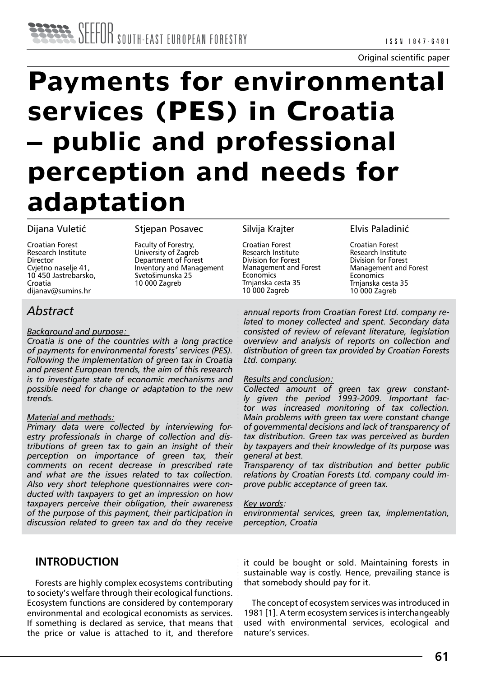

# **Payments for environmental services (PES) in Croatia – public and professional perception and needs for adaptation**

#### Dijana Vuletić

Croatian Forest Research Institute Director Cvjetno naselje 41, 10 450 Jastrebarsko, Croatia dijanav@sumins.hr

Stjepan Posavec

Faculty of Forestry, University of Zagreb Department of Forest Inventory and Management Svetošimunska 25 10 000 Zagreb

#### Silvija Krajter

Croatian Forest Research Institute Division for Forest Management and Forest **Economics** Trnjanska cesta 35 10 000 Zagreb

Elvis Paladinić

Croatian Forest Research Institute Division for Forest Management and Forest **Economics** Trnjanska cesta 35 10 000 Zagreb

# *Abstract*

#### *Background and purpose:*

*Croatia is one of the countries with a long practice of payments for environmental forests' services (PES). Following the implementation of green tax in Croatia and present European trends, the aim of this research is to investigate state of economic mechanisms and possible need for change or adaptation to the new trends.*

#### *Material and methods:*

*Primary data were collected by interviewing forestry professionals in charge of collection and distributions of green tax to gain an insight of their perception on importance of green tax, their comments on recent decrease in prescribed rate and what are the issues related to tax collection. Also very short telephone questionnaires were conducted with taxpayers to get an impression on how taxpayers perceive their obligation, their awareness of the purpose of this payment, their participation in discussion related to green tax and do they receive* 

*annual reports from Croatian Forest Ltd. company related to money collected and spent. Secondary data consisted of review of relevant literature, legislation overview and analysis of reports on collection and distribution of green tax provided by Croatian Forests Ltd. company.* 

#### *Results and conclusion:*

*Collected amount of green tax grew constantly given the period 1993-2009. Important factor was increased monitoring of tax collection. Main problems with green tax were constant change of governmental decisions and lack of transparency of tax distribution. Green tax was perceived as burden by taxpayers and their knowledge of its purpose was general at best.*

*Transparency of tax distribution and better public relations by Croatian Forests Ltd. company could improve public acceptance of green tax.* 

*Key words:*

*environmental services, green tax, implementation, perception, Croatia*

## **INTRODUCTION**

Forests are highly complex ecosystems contributing to society's welfare through their ecological functions. Ecosystem functions are considered by contemporary environmental and ecological economists as services. If something is declared as service, that means that the price or value is attached to it, and therefore it could be bought or sold. Maintaining forests in sustainable way is costly. Hence, prevailing stance is that somebody should pay for it.

The concept of ecosystem services was introduced in 1981 [1]. A term ecosystem services is interchangeably used with environmental services, ecological and nature's services.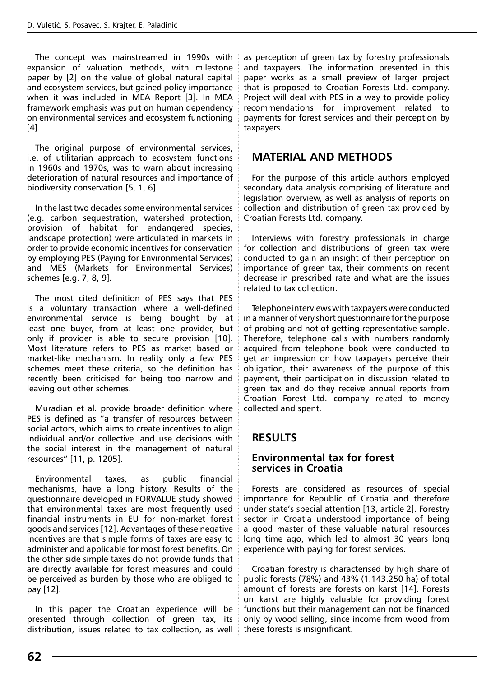The concept was mainstreamed in 1990s with expansion of valuation methods, with milestone paper by [2] on the value of global natural capital and ecosystem services, but gained policy importance when it was included in MEA Report [3]. In MEA framework emphasis was put on human dependency on environmental services and ecosystem functioning [4].

The original purpose of environmental services, i.e. of utilitarian approach to ecosystem functions in 1960s and 1970s, was to warn about increasing deterioration of natural resources and importance of biodiversity conservation [5, 1, 6].

In the last two decades some environmental services (e.g. carbon sequestration, watershed protection, provision of habitat for endangered species, landscape protection) were articulated in markets in order to provide economic incentives for conservation by employing PES (Paying for Environmental Services) and MES (Markets for Environmental Services) schemes [e.g. 7, 8, 9].

The most cited definition of PES says that PES is a voluntary transaction where a well-defined environmental service is being bought by at least one buyer, from at least one provider, but only if provider is able to secure provision [10]. Most literature refers to PES as market based or market-like mechanism. In reality only a few PES schemes meet these criteria, so the definition has recently been criticised for being too narrow and leaving out other schemes.

Muradian et al. provide broader definition where PES is defined as "a transfer of resources between social actors, which aims to create incentives to align individual and/or collective land use decisions with the social interest in the management of natural resources" [11, p. 1205].

Environmental taxes, as public financial mechanisms, have a long history. Results of the questionnaire developed in FORVALUE study showed that environmental taxes are most frequently used financial instruments in EU for non-market forest goods and services [12]. Advantages of these negative incentives are that simple forms of taxes are easy to administer and applicable for most forest benefits. On the other side simple taxes do not provide funds that are directly available for forest measures and could be perceived as burden by those who are obliged to pay [12].

In this paper the Croatian experience will be presented through collection of green tax, its distribution, issues related to tax collection, as well as perception of green tax by forestry professionals and taxpayers. The information presented in this paper works as a small preview of larger project that is proposed to Croatian Forests Ltd. company. Project will deal with PES in a way to provide policy recommendations for improvement related to payments for forest services and their perception by taxpayers.

# **MATERIAL AND METHODS**

For the purpose of this article authors employed secondary data analysis comprising of literature and legislation overview, as well as analysis of reports on collection and distribution of green tax provided by Croatian Forests Ltd. company.

Interviews with forestry professionals in charge for collection and distributions of green tax were conducted to gain an insight of their perception on importance of green tax, their comments on recent decrease in prescribed rate and what are the issues related to tax collection.

Telephone interviews with taxpayers were conducted in a manner of very short questionnaire for the purpose of probing and not of getting representative sample. Therefore, telephone calls with numbers randomly acquired from telephone book were conducted to get an impression on how taxpayers perceive their obligation, their awareness of the purpose of this payment, their participation in discussion related to green tax and do they receive annual reports from Croatian Forest Ltd. company related to money collected and spent.

# **RESULTS**

## **Environmental tax for forest services in Croatia**

Forests are considered as resources of special importance for Republic of Croatia and therefore under state's special attention [13, article 2]. Forestry sector in Croatia understood importance of being a good master of these valuable natural resources long time ago, which led to almost 30 years long experience with paying for forest services.

Croatian forestry is characterised by high share of public forests (78%) and 43% (1.143.250 ha) of total amount of forests are forests on karst [14]. Forests on karst are highly valuable for providing forest functions but their management can not be financed only by wood selling, since income from wood from these forests is insignificant.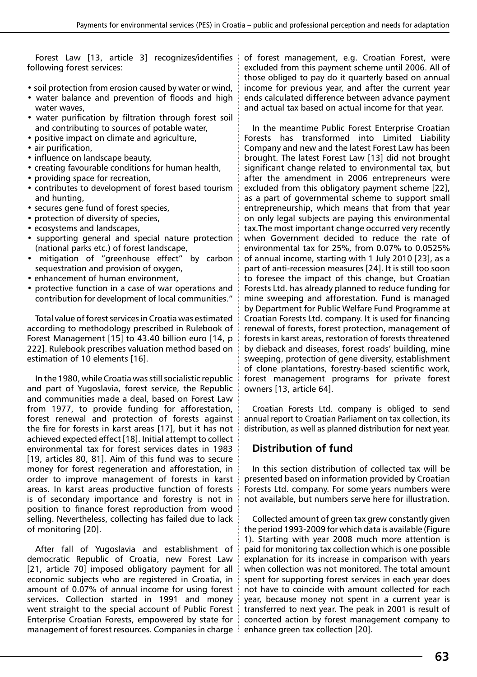Forest Law [13, article 3] recognizes/identifies following forest services:

- soil protection from erosion caused by water or wind,
- water balance and prevention of floods and high water waves,
- water purification by filtration through forest soil and contributing to sources of potable water,
- positive impact on climate and agriculture,
- air purification,
- influence on landscape beauty,
- creating favourable conditions for human health,
- providing space for recreation,
- contributes to development of forest based tourism and hunting,
- secures gene fund of forest species,
- protection of diversity of species,
- ecosystems and landscapes,
- supporting general and special nature protection (national parks etc.) of forest landscape,
- mitigation of "greenhouse effect" by carbon sequestration and provision of oxygen,
- enhancement of human environment,
- protective function in a case of war operations and contribution for development of local communities."

Total value of forest services in Croatia was estimated according to methodology prescribed in Rulebook of Forest Management [15] to 43.40 billion euro [14, p 222]. Rulebook prescribes valuation method based on estimation of 10 elements [16].

In the 1980, while Croatia was still socialistic republic and part of Yugoslavia, forest service, the Republic and communities made a deal, based on Forest Law from 1977, to provide funding for afforestation, forest renewal and protection of forests against the fire for forests in karst areas [17], but it has not achieved expected effect [18]. Initial attempt to collect environmental tax for forest services dates in 1983 [19, articles 80, 81]. Aim of this fund was to secure money for forest regeneration and afforestation, in order to improve management of forests in karst areas. In karst areas productive function of forests is of secondary importance and forestry is not in position to finance forest reproduction from wood selling. Nevertheless, collecting has failed due to lack of monitoring [20].

After fall of Yugoslavia and establishment of democratic Republic of Croatia, new Forest Law [21, article 70] imposed obligatory payment for all economic subjects who are registered in Croatia, in amount of 0.07% of annual income for using forest services. Collection started in 1991 and money went straight to the special account of Public Forest Enterprise Croatian Forests, empowered by state for management of forest resources. Companies in charge of forest management, e.g. Croatian Forest, were excluded from this payment scheme until 2006. All of those obliged to pay do it quarterly based on annual income for previous year, and after the current year ends calculated difference between advance payment and actual tax based on actual income for that year.

In the meantime Public Forest Enterprise Croatian Forests has transformed into Limited Liability Company and new and the latest Forest Law has been brought. The latest Forest Law [13] did not brought significant change related to environmental tax, but after the amendment in 2006 entrepreneurs were excluded from this obligatory payment scheme [22], as a part of governmental scheme to support small entrepreneurship, which means that from that year on only legal subjects are paying this environmental tax.The most important change occurred very recently when Government decided to reduce the rate of environmental tax for 25%, from 0.07% to 0.0525% of annual income, starting with 1 July 2010 [23], as a part of anti-recession measures [24]. It is still too soon to foresee the impact of this change, but Croatian Forests Ltd. has already planned to reduce funding for mine sweeping and afforestation. Fund is managed by Department for Public Welfare Fund Programme at Croatian Forests Ltd. company. It is used for financing renewal of forests, forest protection, management of forests in karst areas, restoration of forests threatened by dieback and diseases, forest roads' building, mine sweeping, protection of gene diversity, establishment of clone plantations, forestry-based scientific work, forest management programs for private forest owners [13, article 64].

Croatian Forests Ltd. company is obliged to send annual report to Croatian Parliament on tax collection, its distribution, as well as planned distribution for next year.

## **Distribution of fund**

In this section distribution of collected tax will be presented based on information provided by Croatian Forests Ltd. company. For some years numbers were not available, but numbers serve here for illustration.

Collected amount of green tax grew constantly given the period 1993-2009 for which data is available (Figure 1). Starting with year 2008 much more attention is paid for monitoring tax collection which is one possible explanation for its increase in comparison with years when collection was not monitored. The total amount spent for supporting forest services in each year does not have to coincide with amount collected for each year, because money not spent in a current year is transferred to next year. The peak in 2001 is result of concerted action by forest management company to enhance green tax collection [20].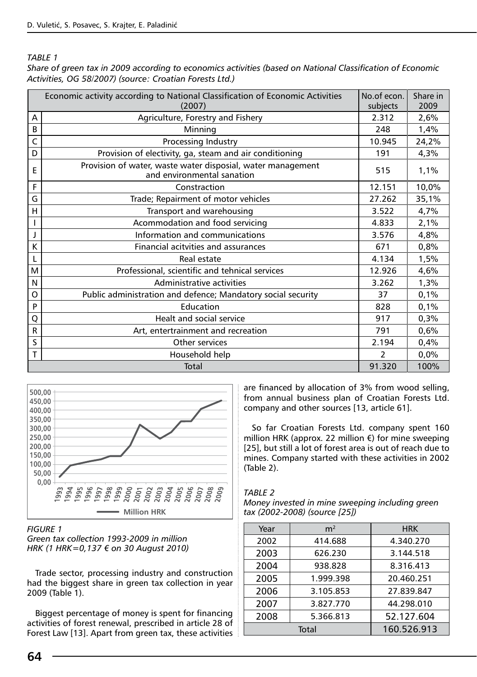*Table 1*

*Share of green tax in 2009 according to economics activities (based on National Classification of Economic Activities, OG 58/2007) (source: Croatian Forests Ltd.)* 

| Economic activity according to National Classification of Economic Activities<br>No.of econ.<br>Share in |                                                                                           |                          |       |  |  |  |  |
|----------------------------------------------------------------------------------------------------------|-------------------------------------------------------------------------------------------|--------------------------|-------|--|--|--|--|
|                                                                                                          | (2007)                                                                                    | subjects                 | 2009  |  |  |  |  |
| A                                                                                                        | Agriculture, Forestry and Fishery                                                         | 2.312                    | 2,6%  |  |  |  |  |
| B                                                                                                        | Minning                                                                                   | 248                      | 1,4%  |  |  |  |  |
| C                                                                                                        | Processing Industry                                                                       | 10.945                   | 24,2% |  |  |  |  |
| D                                                                                                        | Provision of electivity, ga, steam and air conditioning                                   | 191                      | 4,3%  |  |  |  |  |
| E                                                                                                        | Provision of water, waste water disposial, water management<br>and environmental sanation | 515                      | 1,1%  |  |  |  |  |
| F                                                                                                        | Constraction                                                                              | 12.151                   | 10,0% |  |  |  |  |
| G                                                                                                        | Trade; Repairment of motor vehicles                                                       | 27.262                   | 35,1% |  |  |  |  |
| н                                                                                                        | Transport and warehousing                                                                 | 3.522                    | 4,7%  |  |  |  |  |
|                                                                                                          | Acommodation and food servicing                                                           | 4.833                    | 2,1%  |  |  |  |  |
|                                                                                                          | Information and communications                                                            | 3.576                    | 4,8%  |  |  |  |  |
| K                                                                                                        | Financial acitvities and assurances                                                       | 671                      | 0,8%  |  |  |  |  |
| L                                                                                                        | Real estate                                                                               | 4.134                    | 1,5%  |  |  |  |  |
| M                                                                                                        | Professional, scientific and tehnical services                                            | 12.926                   | 4,6%  |  |  |  |  |
| N                                                                                                        | Administrative activities                                                                 | 3.262                    | 1,3%  |  |  |  |  |
| O                                                                                                        | Public administration and defence; Mandatory social security                              | 37                       | 0,1%  |  |  |  |  |
| P                                                                                                        | Education                                                                                 | 828                      | 0,1%  |  |  |  |  |
| Q                                                                                                        | Healt and social service                                                                  | 917                      | 0,3%  |  |  |  |  |
| $\mathsf{R}$                                                                                             | Art, entertrainment and recreation                                                        | 791                      | 0,6%  |  |  |  |  |
| S                                                                                                        | Other services                                                                            | 2.194                    | 0,4%  |  |  |  |  |
| T                                                                                                        | Household help                                                                            | $\overline{\phantom{a}}$ | 0.0%  |  |  |  |  |
|                                                                                                          | Total                                                                                     | 91.320                   | 100%  |  |  |  |  |



#### *Figure 1*

*Green tax collection 1993-2009 in million HRK (1 HRK=0,137 € on 30 August 2010)*

Trade sector, processing industry and construction had the biggest share in green tax collection in year 2009 (Table 1).

Biggest percentage of money is spent for financing activities of forest renewal, prescribed in article 28 of Forest Law [13]. Apart from green tax, these activities

are financed by allocation of 3% from wood selling, from annual business plan of Croatian Forests Ltd. company and other sources [13, article 61].

So far Croatian Forests Ltd. company spent 160 million HRK (approx. 22 million €) for mine sweeping [25], but still a lot of forest area is out of reach due to mines. Company started with these activities in 2002 (Table 2).

#### *Table 2*

| Money invested in mine sweeping including green |  |  |
|-------------------------------------------------|--|--|
| tax (2002-2008) (source [25])                   |  |  |

| Year | m <sup>2</sup> | <b>HRK</b>  |
|------|----------------|-------------|
| 2002 | 414.688        | 4.340.270   |
| 2003 | 626.230        | 3.144.518   |
| 2004 | 938.828        | 8.316.413   |
| 2005 | 1.999.398      | 20.460.251  |
| 2006 | 3.105.853      | 27.839.847  |
| 2007 | 3.827.770      | 44.298.010  |
| 2008 | 5.366.813      | 52.127.604  |
|      | Total          | 160.526.913 |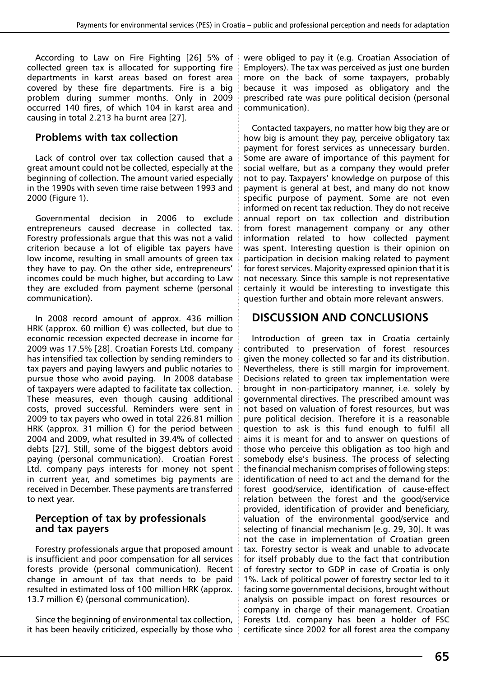According to Law on Fire Fighting [26] 5% of collected green tax is allocated for supporting fire departments in karst areas based on forest area covered by these fire departments. Fire is a big problem during summer months. Only in 2009 occurred 140 fires, of which 104 in karst area and causing in total 2.213 ha burnt area [27].

## **Problems with tax collection**

Lack of control over tax collection caused that a great amount could not be collected, especially at the beginning of collection. The amount varied especially in the 1990s with seven time raise between 1993 and 2000 (Figure 1).

Governmental decision in 2006 to exclude entrepreneurs caused decrease in collected tax. Forestry professionals argue that this was not a valid criterion because a lot of eligible tax payers have low income, resulting in small amounts of green tax they have to pay. On the other side, entrepreneurs' incomes could be much higher, but according to Law they are excluded from payment scheme (personal communication).

In 2008 record amount of approx. 436 million HRK (approx. 60 million  $\epsilon$ ) was collected, but due to economic recession expected decrease in income for 2009 was 17.5% [28]. Croatian Forests Ltd. company has intensified tax collection by sending reminders to tax payers and paying lawyers and public notaries to pursue those who avoid paying. In 2008 database of taxpayers were adapted to facilitate tax collection. These measures, even though causing additional costs, proved successful. Reminders were sent in 2009 to tax payers who owed in total 226.81 million HRK (approx. 31 million  $\epsilon$ ) for the period between 2004 and 2009, what resulted in 39.4% of collected debts [27]. Still, some of the biggest debtors avoid paying (personal communication). Croatian Forest Ltd. company pays interests for money not spent in current year, and sometimes big payments are received in December. These payments are transferred to next year.

## **Perception of tax by professionals and tax payers**

Forestry professionals argue that proposed amount is insufficient and poor compensation for all services forests provide (personal communication). Recent change in amount of tax that needs to be paid resulted in estimated loss of 100 million HRK (approx. 13.7 million €) (personal communication).

Since the beginning of environmental tax collection, it has been heavily criticized, especially by those who were obliged to pay it (e.g. Croatian Association of Employers). The tax was perceived as just one burden more on the back of some taxpayers, probably because it was imposed as obligatory and the prescribed rate was pure political decision (personal communication).

Contacted taxpayers, no matter how big they are or how big is amount they pay, perceive obligatory tax payment for forest services as unnecessary burden. Some are aware of importance of this payment for social welfare, but as a company they would prefer not to pay. Taxpayers' knowledge on purpose of this payment is general at best, and many do not know specific purpose of payment. Some are not even informed on recent tax reduction. They do not receive annual report on tax collection and distribution from forest management company or any other information related to how collected payment was spent. Interesting question is their opinion on participation in decision making related to payment for forest services. Majority expressed opinion that it is not necessary. Since this sample is not representative certainly it would be interesting to investigate this question further and obtain more relevant answers.

# **DISCUSSION AND CONCLUSIONS**

Introduction of green tax in Croatia certainly contributed to preservation of forest resources given the money collected so far and its distribution. Nevertheless, there is still margin for improvement. Decisions related to green tax implementation were brought in non-participatory manner, i.e. solely by governmental directives. The prescribed amount was not based on valuation of forest resources, but was pure political decision. Therefore it is a reasonable question to ask is this fund enough to fulfil all aims it is meant for and to answer on questions of those who perceive this obligation as too high and somebody else's business. The process of selecting the financial mechanism comprises of following steps: identification of need to act and the demand for the forest good/service, identification of cause-effect relation between the forest and the good/service provided, identification of provider and beneficiary, valuation of the environmental good/service and selecting of financial mechanism [e.g. 29, 30]. It was not the case in implementation of Croatian green tax. Forestry sector is weak and unable to advocate for itself probably due to the fact that contribution of forestry sector to GDP in case of Croatia is only 1%. Lack of political power of forestry sector led to it facing some governmental decisions, brought without analysis on possible impact on forest resources or company in charge of their management. Croatian Forests Ltd. company has been a holder of FSC certificate since 2002 for all forest area the company